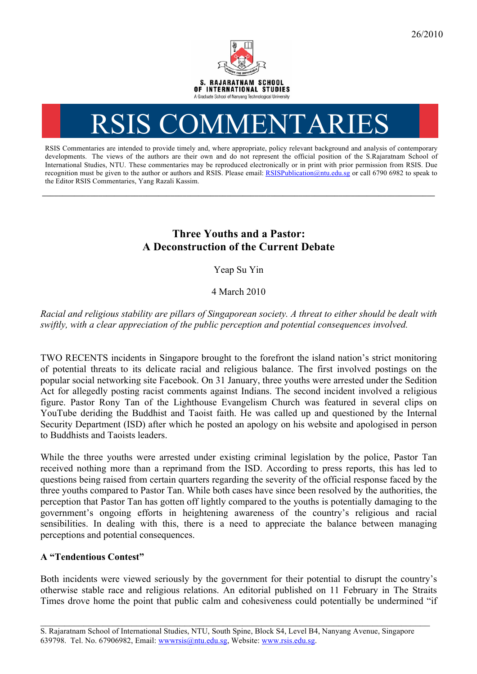

## RSIS COMMENTARI

RSIS Commentaries are intended to provide timely and, where appropriate, policy relevant background and analysis of contemporary developments. The views of the authors are their own and do not represent the official position of the S.Rajaratnam School of International Studies, NTU. These commentaries may be reproduced electronically or in print with prior permission from RSIS. Due recognition must be given to the author or authors and RSIS. Please email: RSISPublication@ntu.edu.sg or call 6790 6982 to speak to the Editor RSIS Commentaries, Yang Razali Kassim.

**\_\_\_\_\_\_\_\_\_\_\_\_\_\_\_\_\_\_\_\_\_\_\_\_\_\_\_\_\_\_\_\_\_\_\_\_\_\_\_\_\_\_\_\_\_\_\_\_\_\_\_\_\_\_\_\_\_\_\_\_\_\_\_\_\_\_\_\_\_\_\_\_\_\_\_\_\_\_\_\_\_\_\_\_\_\_\_\_\_\_\_\_\_\_\_\_\_\_**

## **Three Youths and a Pastor: A Deconstruction of the Current Debate**

Yeap Su Yin

4 March 2010

*Racial and religious stability are pillars of Singaporean society. A threat to either should be dealt with swiftly, with a clear appreciation of the public perception and potential consequences involved.* 

TWO RECENTS incidents in Singapore brought to the forefront the island nation's strict monitoring of potential threats to its delicate racial and religious balance. The first involved postings on the popular social networking site Facebook. On 31 January, three youths were arrested under the Sedition Act for allegedly posting racist comments against Indians. The second incident involved a religious figure. Pastor Rony Tan of the Lighthouse Evangelism Church was featured in several clips on YouTube deriding the Buddhist and Taoist faith. He was called up and questioned by the Internal Security Department (ISD) after which he posted an apology on his website and apologised in person to Buddhists and Taoists leaders.

While the three youths were arrested under existing criminal legislation by the police, Pastor Tan received nothing more than a reprimand from the ISD. According to press reports, this has led to questions being raised from certain quarters regarding the severity of the official response faced by the three youths compared to Pastor Tan. While both cases have since been resolved by the authorities, the perception that Pastor Tan has gotten off lightly compared to the youths is potentially damaging to the government's ongoing efforts in heightening awareness of the country's religious and racial sensibilities. In dealing with this, there is a need to appreciate the balance between managing perceptions and potential consequences.

## **A "Tendentious Contest"**

Both incidents were viewed seriously by the government for their potential to disrupt the country's otherwise stable race and religious relations. An editorial published on 11 February in The Straits Times drove home the point that public calm and cohesiveness could potentially be undermined "if

\_\_\_\_\_\_\_\_\_\_\_\_\_\_\_\_\_\_\_\_\_\_\_\_\_\_\_\_\_\_\_\_\_\_\_\_\_\_\_\_\_\_\_\_\_\_\_\_\_\_\_\_\_\_\_\_\_\_\_\_\_\_\_\_\_\_\_\_\_\_\_\_\_\_\_\_\_\_\_\_\_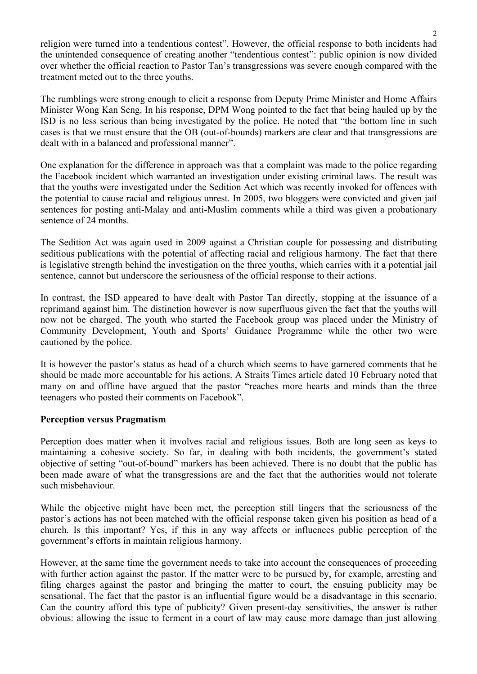religion were turned into a tendentious contest". However, the official response to both incidents had the unintended consequence of creating another "tendentious contest": public opinion is now divided over whether the official reaction to Pastor Tan's transgressions was severe enough compared with the treatment meted out to the three youths.

The rumblings were strong enough to elicit a response from Deputy Prime Minister and Home Affairs Minister Wong Kan Seng. In his response, DPM Wong pointed to the fact that being hauled up by the ISD is no less serious than being investigated by the police. He noted that "the bottom line in such cases is that we must ensure that the OB (out-of-bounds) markers are clear and that transgressions are dealt with in a balanced and professional manner".

One explanation for the difference in approach was that a complaint was made to the police regarding the Facebook incident which warranted an investigation under existing criminal laws. The result was that the youths were investigated under the Sedition Act which was recently invoked for offences with the potential to cause racial and religious unrest. In 2005, two bloggers were convicted and given jail sentences for posting anti-Malay and anti-Muslim comments while a third was given a probationary sentence of 24 months.

The Sedition Act was again used in 2009 against a Christian couple for possessing and distributing seditious publications with the potential of affecting racial and religious harmony. The fact that there is legislative strength behind the investigation on the three youths, which carries with it a potential jail sentence, cannot but underscore the seriousness of the official response to their actions.

In contrast, the ISD appeared to have dealt with Pastor Tan directly, stopping at the issuance of a reprimand against him. The distinction however is now superfluous given the fact that the youths will now not be charged. The youth who started the Facebook group was placed under the Ministry of Community Development, Youth and Sports' Guidance Programme while the other two were cautioned by the police.

It is however the pastor's status as head of a church which seems to have garnered comments that he should be made more accountable for his actions. A Straits Times article dated 10 February noted that many on and offline have argued that the pastor "reaches more hearts and minds than the three teenagers who posted their comments on Facebook".

## **Perception versus Pragmatism**

Perception does matter when it involves racial and religious issues. Both are long seen as keys to maintaining a cohesive society. So far, in dealing with both incidents, the government's stated objective of setting "out-of-bound" markers has been achieved. There is no doubt that the public has been made aware of what the transgressions are and the fact that the authorities would not tolerate such misbehaviour.

While the objective might have been met, the perception still lingers that the seriousness of the pastor's actions has not been matched with the official response taken given his position as head of a church. Is this important? Yes, if this in any way affects or influences public perception of the government's efforts in maintain religious harmony.

However, at the same time the government needs to take into account the consequences of proceeding with further action against the pastor. If the matter were to be pursued by, for example, arresting and filing charges against the pastor and bringing the matter to court, the ensuing publicity may be sensational. The fact that the pastor is an influential figure would be a disadvantage in this scenario. Can the country afford this type of publicity? Given present-day sensitivities, the answer is rather obvious: allowing the issue to ferment in a court of law may cause more damage than just allowing